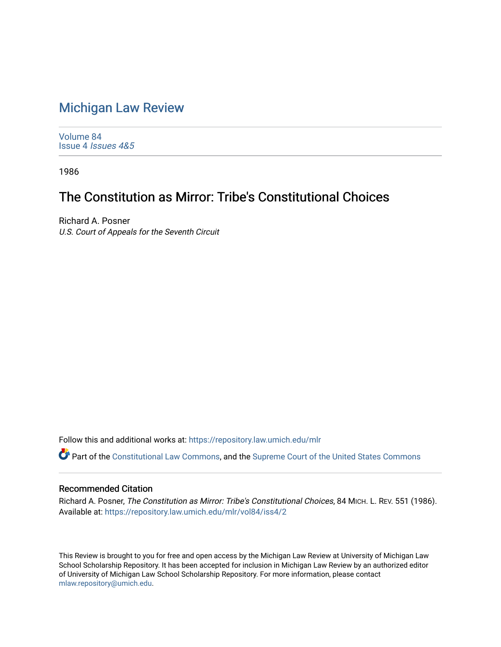# [Michigan Law Review](https://repository.law.umich.edu/mlr)

[Volume 84](https://repository.law.umich.edu/mlr/vol84) Issue 4 [Issues 4&5](https://repository.law.umich.edu/mlr/vol84/iss4) 

1986

# The Constitution as Mirror: Tribe's Constitutional Choices

Richard A. Posner U.S. Court of Appeals for the Seventh Circuit

Follow this and additional works at: [https://repository.law.umich.edu/mlr](https://repository.law.umich.edu/mlr?utm_source=repository.law.umich.edu%2Fmlr%2Fvol84%2Fiss4%2F2&utm_medium=PDF&utm_campaign=PDFCoverPages) 

Part of the [Constitutional Law Commons,](http://network.bepress.com/hgg/discipline/589?utm_source=repository.law.umich.edu%2Fmlr%2Fvol84%2Fiss4%2F2&utm_medium=PDF&utm_campaign=PDFCoverPages) and the [Supreme Court of the United States Commons](http://network.bepress.com/hgg/discipline/1350?utm_source=repository.law.umich.edu%2Fmlr%2Fvol84%2Fiss4%2F2&utm_medium=PDF&utm_campaign=PDFCoverPages)

### Recommended Citation

Richard A. Posner, The Constitution as Mirror: Tribe's Constitutional Choices, 84 MICH. L. REV. 551 (1986). Available at: [https://repository.law.umich.edu/mlr/vol84/iss4/2](https://repository.law.umich.edu/mlr/vol84/iss4/2?utm_source=repository.law.umich.edu%2Fmlr%2Fvol84%2Fiss4%2F2&utm_medium=PDF&utm_campaign=PDFCoverPages)

This Review is brought to you for free and open access by the Michigan Law Review at University of Michigan Law School Scholarship Repository. It has been accepted for inclusion in Michigan Law Review by an authorized editor of University of Michigan Law School Scholarship Repository. For more information, please contact [mlaw.repository@umich.edu.](mailto:mlaw.repository@umich.edu)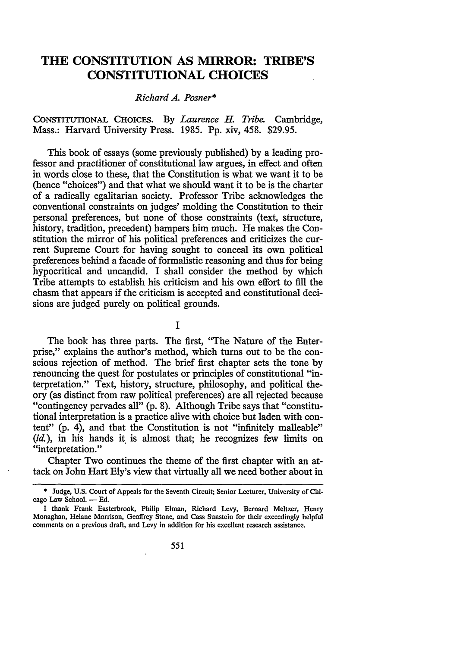## **THE CONSTITUTION AS MIRROR: TRIBE'S CONSTITUTIONAL CHOICES**

#### *Richard A. Posner\**

#### CONSTITUTIONAL CHOICES. By *Laurence H. Tribe.* Cambridge, Mass.: Harvard University Press. 1985. Pp. xiv, 458. \$29.95.

This book of essays (some previously published) by a leading professor and practitioner of constitutional law argues, in effect and often in words close to these, that the Constitution is what we want it to be (hence "choices") and that what we should want it to be is the charter of a radically egalitarian society. Professor Tribe acknowledges the conventional constraints on judges' molding the Constitution to their personal preferences, but none of those constraints (text, structure, history, tradition, precedent) hampers him much. He makes the Constitution the mirror of his political preferences and criticizes the current Supreme Court for having sought to conceal its own political preferences behind a facade of formalistic reasoning and thus for being hypocritical and uncandid. I shall consider the method by which Tribe attempts to establish his criticism and his own effort to fill the chasm that appears if the criticism is accepted and constitutional decisions are judged purely on political grounds.

I

The book has three parts. The first, "The Nature of the Enterprise," explains the author's method, which turns out to be the conscious rejection of method. The brief first chapter sets the tone by renouncing the quest for postulates or principles of constitutional "interpretation." Text, history, structure, philosophy, and political theory (as distinct from raw political preferences) are all rejected because "contingency pervades all" (p. 8). Although Tribe says that "constitutional interpretation is a practice alive with choice but laden with content" (p. 4), and that the Constitution is not "infinitely malleable" *(id.),* in his hands it is almost that; he recognizes few limits on "interpretation."

Chapter Two continues the theme of the first chapter with an attack on John Hart Ely's view that virtually all we need bother about in

<sup>•</sup> Judge, U.S. Court of Appeals for the Seventh Circuit; Senior Lecturer, University of Chicago Law School. - Ed.

I thank Frank Easterbrook, Philip Elman, Richard Levy, Bernard Meltzer, Henry Monaghan, Helane Morrison, Geoffrey Stone, and Cass Sunstein for their exceedingly helpful comments on a previous draft, and Levy in addition for his excellent research assistance.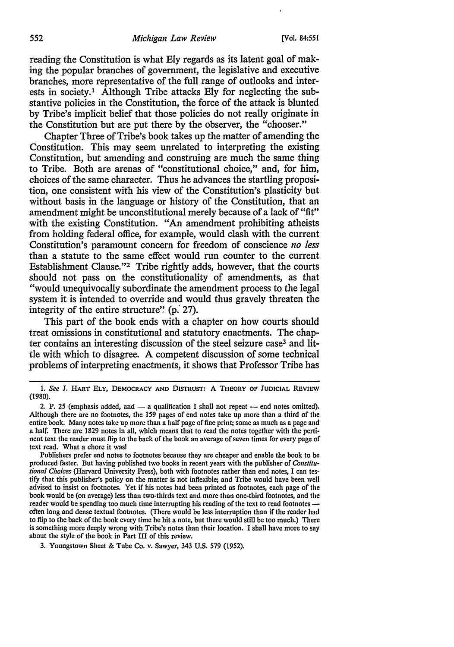reading the Constitution is what Ely regards as its latent goal of making the popular branches of government, the legislative and executive branches, more representative of the full range of outlooks and interests in society.<sup>1</sup> Although Tribe attacks Ely for neglecting the substantive policies in the Constitution, the force of the attack is blunted by Tribe's implicit belief that those policies do not really originate in the Constitution but are put there by the observer, the "chooser."

Chapter Three of Tribe's book takes up the matter of amending the Constitution. This may seem unrelated to interpreting the existing Constitution, but amending and construing are much the same thing to Tribe. Both are arenas of "constitutional choice," and, for him, choices of the same character. Thus he advances the startling proposition, one consistent with his view of the Constitution's plasticity but without basis in the language or history of the Constitution, that an amendment might be unconstitutional merely because of a lack of "fit" with the existing Constitution. "An amendment prohibiting atheists from holding federal office, for example, would clash with the current Constitution's paramount concern for freedom of conscience *no less*  than a statute to the same effect would run counter to the current Establishment Clause."2 Tribe rightly adds, however, that the courts should not pass on the constitutionality of amendments, as that "would unequivocally subordinate the amendment process to the legal system it is intended to override and would thus gravely threaten the integrity of the entire structure?  $(p. 27)$ .

This part of the book ends with a chapter on how courts should treat omissions in constitutional and statutory enactments. The chapter contains an interesting discussion of the steel seizure case3 and little with which to disagree. A competent discussion of some technical problems of interpreting enactments, it shows that Professor Tribe has

3. Youngstown Sheet & Tube Co. v. Sawyer, 343 U.S. 579 (1952).

<sup>1.</sup> *See* J. HART ELY, DEMOCRACY AND DISTRUST: A THEORY OF JUDICIAL REVIEW (1980).

<sup>2.</sup> P. 25 (emphasis added, and  $-$  a qualification I shall not repeat  $-$  end notes omitted). Although there are no footnotes, the 159 pages of end notes take up more than a third of the entire book. Many notes take up more than a half page of fine print; some as much as a page and a half. There are 1829 notes in all, which means that to read the notes together with the perti· nent text the reader must flip to the back of the book an average of seven times for every page of text read. What a chore it was!

Publishers prefer end notes to footnotes because they are cheaper and enable the book to be produced faster. But having published two books in recent years with the publisher of *Constitutional Choices* (Harvard University Press), both with footnotes rather than end notes, I can testify that this publisher's policy on the matter is not inflexible; and Tribe would have been well advised to insist on footnotes. Yet if his notes had been printed as footnotes, each page of the book would be (on average) less than two-thirds text and more than one-third footnotes, and the reader would be spending too much time interrupting his reading of the text to read footnotes often long and dense textual footnotes. (There would be less interruption than if the render had to flip to the back of the book every time he hit a note, but there would still be too much.) There is something more deeply wrong with Tribe's notes than their location. I shall have more to say about the style of the book in Part III of this review.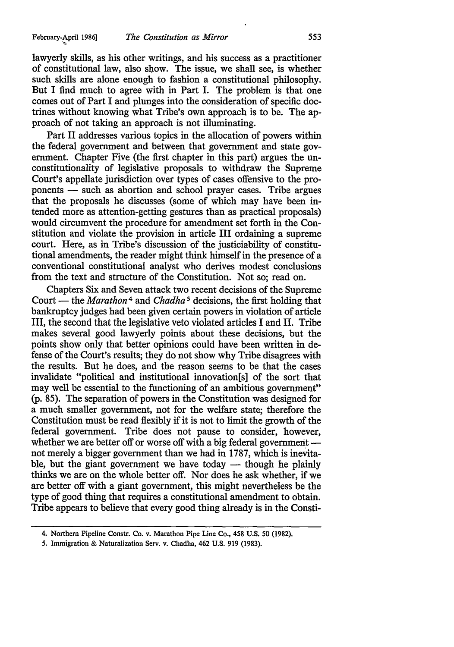lawyerly skills, as his other writings, and his success as a practitioner of constitutional law, also show. The issue, we shall see, is whether such skills are alone enough to fashion a constitutional philosophy. But I find much to agree with in Part I. The problem is that one comes out of Part I and plunges into the consideration of specific doctrines without knowing what Tribe's own approach is to be. The approach of not taking an approach is not illuminating.

Part II addresses various topics in the allocation of powers within the federal government and between that government and state government. Chapter Five (the first chapter in this part) argues the unconstitutionality of legislative proposals to withdraw the Supreme Court's appellate jurisdiction over types of cases offensive to the proponents - such as abortion and school prayer cases. Tribe argues that the proposals he discusses (some of which may have been intended more as attention-getting gestures than as practical proposals) would circumvent the procedure for amendment set forth in the Constitution and violate the provision in article III ordaining a supreme court. Here, as in Tribe's discussion of the justiciability of constitutional amendments, the reader might think himself in the presence of a conventional constitutional analyst who derives modest conclusions from the text and structure of the Constitution. Not so; read on.

Chapters Six and Seven attack two recent decisions of the Supreme Court — the *Marathon*<sup>4</sup> and *Chadha*<sup>5</sup> decisions, the first holding that bankruptcy judges had been given certain powers in violation of article III, the second that the legislative veto violated articles I and II. Tribe makes several good lawyerly points about these decisions, but the points show only that better opinions could have been written in defense of the Court's results; they do not show why Tribe disagrees with the results. But he does, and the reason seems to be that the cases invalidate "political and institutional innovation[s] of the sort that may well be essential to the functioning of an ambitious government" (p. 85). The separation of powers in the Constitution was designed for a much smaller government, not for the welfare state; therefore the Constitution must be read flexibly if it is not to limit the growth of the federal government. Tribe does not pause to consider, however, whether we are better off or worse off with a big federal government not merely a bigger government than we had in 1787, which is inevitable, but the giant government we have today  $-$  though he plainly thinks we are on the whole better off. Nor does he ask whether, if we are better off with a giant government, this might nevertheless be the type of good thing that requires a constitutional amendment to obtain. Tribe appears to believe that every good thing already is in the Consti-

5. Immigration & Naturalization Serv. v. Chadha, 462 U.S. 919 (1983).

<sup>4.</sup> Northern Pipeline Constr. Co. v. Marathon Pipe Line Co., 458 U.S. 50 (1982).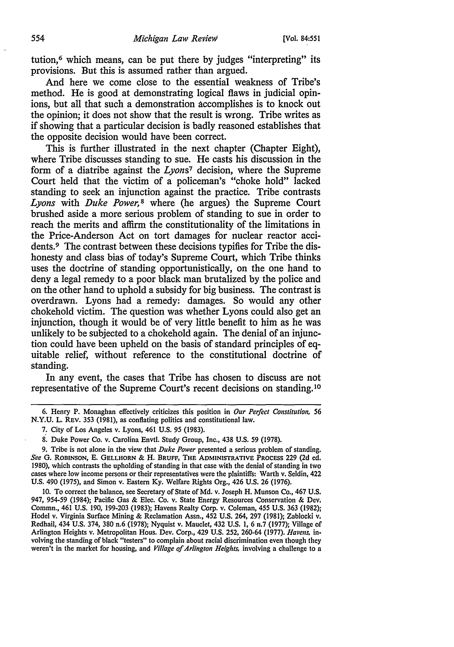tution,<sup>6</sup> which means, can be put there by judges "interpreting" its provisions. But this is assumed rather than argued.

And here we come close to the essential weakness of Tribe's method. He is good at demonstrating logical flaws in judicial opinions, but all that such a demonstration accomplishes is to knock out the opinion; it does not show that the result is wrong. Tribe writes as if showing that a particular decision is badly reasoned establishes that the opposite decision would have been correct.

This is further illustrated in the next chapter (Chapter Eight), where Tribe discusses standing to sue. He casts his discussion in the form of a diatribe against the *Lyons*<sup>7</sup> decision, where the Supreme Court held that the victim of a policeman's "choke hold" lacked standing to seek an injunction against the practice. Tribe contrasts Lyons with *Duke Power*,<sup>8</sup> where (he argues) the Supreme Court brushed aside a more serious problem of standing to sue in order to reach the merits and affirm the constitutionality of the limitations in the Price-Anderson Act on tort damages for nuclear reactor accidents.9 The contrast between these decisions typifies for Tribe the dishonesty and class bias of today's Supreme Court, which Tribe thinks uses the doctrine of standing opportunistically, on the one hand to deny a legal remedy to a poor black man brutalized by the police and on the other hand to uphold a subsidy for big business. The contrast is overdrawn. Lyons had a remedy: damages. So would any other chokehold victim. The question was whether Lyons could also get an injunction, though it would be of very little benefit to him as he was unlikely to be subjected to a chokehold again. The denial of an injunction could have been upheld on the basis of standard principles of equitable relief, without reference to the constitutional doctrine of standing.

In any event, the cases that Tribe has chosen to discuss are not representative of the Supreme Court's recent decisions on standing. <sup>10</sup>

10. To correct the balance, see Secretary of State of Md. v. Joseph H. Munson Co., 467 U.S. 947, 954-59 (1984); Pacific Gas & Elec. Co. v. State Energy Resources Conservation & Dev. Commn., 461 U.S. 190, 199-203 (1983); Havens Realty Corp. v. Coleman, 455 U.S. 363 (1982); Hodel v. Virginia Surface Mining & Reclamation Assn., 452 U.S. 264, 297 (1981); Zablocki v. Redhail, 434 U.S. 374, 380 n.6 (1978); Nyquist v. Mauclet, 432 U.S. 1, 6 n.7 (1977); Village of Arlington Heights v. Metropolitan Rous. Dev. Corp., 429 U.S. 252, 260-64 (1977). *Havens,* involving the standing of black "testers" to complain about racial discrimination even though they weren't in the market for housing, and *Village of Arlington Heights,* involving a challenge to a

<sup>6.</sup> Henry P. Monaghan effectively criticizes this position in Our Perfect Constitution, 56 N.Y.U. L. REV. 353 (1981), as conflating politics and constitutional law.

<sup>1:</sup> City of Los Angeles v. Lyons, 461 U.S. 95 (1983).

<sup>8.</sup> Duke Power Co. v. Carolina Envtl. Study Group, Inc., 438 U.S. 59 (1978).

<sup>9.</sup> Tribe is not alone in the view that *Duke Power* presented a serious problem of standing. *See* G. ROBINSON, E. GELLHORN & H. BRUFF, THE ADMINISTRATIVE PROCESS 229 (2d ed. 1980), which contrasts the upholding of standing in that case with the denial of standing in two cases where low income persons or their representatives were the plaintiffs: Warth v. Seldin, 422 U.S. 490 (1975), and Simon v. Eastern Ky. Welfare Rights Org., 426 U.S. 26 (1976).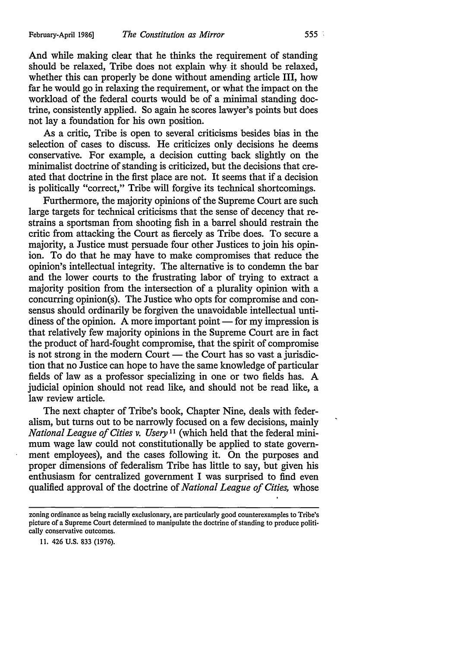And while making clear that he thinks the requirement of standing should be relaxed, Tribe does not explain why it should be relaxed, whether this can properly be done without amending article III, how far he would go in relaxing the requirement, or what the impact on the workload of the federal courts would be of a minimal standing doctrine, consistently applied. So again he scores lawyer's points but does not lay a foundation for his own position.

As a critic, Tribe is open to several criticisms besides bias in the selection of cases to discuss. He criticizes only decisions he deems conservative. For example, a decision cutting back slightly on the minimalist doctrine of standing is criticized, but the decisions that created that doctrine in the first place are not. It seems that if a decision is politically "correct," Tribe will forgive its technical shortcomings.

Furthermore, the majority opinions of the Supreme Court are such large targets for technical criticisms that the sense of decency that restrains a sportsman from shooting fish in a barrel should restrain the critic from attacking the Court as fiercely as Tribe does. To secure a majority, a Justice must persuade four other Justices to join his opinion. To do that he may have to make compromises that reduce the opinion's intellectual integrity. The alternative is to condemn the bar and the lower courts to the frustrating labor of trying to extract a majority position from the intersection of a plurality opinion with a concurring opinion(s). The Justice who opts for compromise and consensus should ordinarily be forgiven the unavoidable intellectual untidiness of the opinion. A more important point  $-$  for my impression is that relatively few majority opinions in the Supreme Court are in fact the product of hard-fought compromise, that the spirit of compromise is not strong in the modern Court  $-$  the Court has so vast a jurisdiction that no Justice can hope to have the same knowledge of particular fields of law as a professor specializing in one or two fields has. A judicial opinion should not read like, and should not be read like, a law review article.

The next chapter of Tribe's book, Chapter Nine, deals with federalism, but turns out to be narrowly focused on a few decisions, mainly *National League of Cities v. Usery* <sup>11</sup>(which held that the federal minimum wage law could not constitutionally be applied to state government employees), and the cases following it. On the purposes and proper dimensions of federalism Tribe has little to say, but given his enthusiasm for centralized government I was surprised to find even qualified approval of the doctrine of *National League of Cities,* whose

11. 426 U.S. 833 (1976).

zoning ordinance as being racially exclusionary, are particularly good counterexamples to Tribe's picture of a Supreme Court determined to manipulate the doctrine of standing to produce politically conservative outcomes.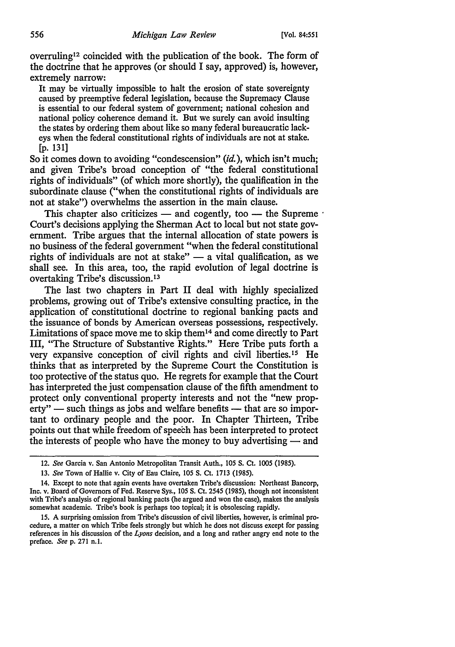overruling12 coincided with the publication of the book. The form of the doctrine that he approves (or should I say, approved) is, however, extremely narrow:

It may be virtually impossible to halt the erosion of state sovereignty caused by preemptive federal legislation, because the Supremacy Clause is essential to our federal system of government; national cohesion and national policy coherence demand it. But we surely can avoid insulting the states by ordering them about like so many federal bureaucratic lackeys when the federal constitutional rights of individuals are not at stake. [p. 131]

So it comes down to avoiding "condescension" (id.), which isn't much; and given Tribe's broad conception of "the federal constitutional rights of individuals" (of which more shortly), the qualification in the subordinate clause ("when the constitutional rights of individuals are not at stake") overwhelms the assertion in the main clause.

This chapter also criticizes  $-$  and cogently, too  $-$  the Supreme  $\cdot$ Court's decisions applying the Sherman Act to local but not state government. Tribe argues that the internal allocation of state powers is no business of the federal government "when the federal constitutional rights of individuals are not at stake"  $-$  a vital qualification, as we shall see. In this area, too, the rapid evolution of legal doctrine is overtaking Tribe's discussion.13

The last two chapters in Part II deal with highly specialized problems, growing out of Tribe's extensive consulting practice, in the application of constitutional doctrine to regional banking pacts and the issuance of bonds by American overseas possessions, respectively. Limitations of space move me to skip them14 and come directly to Part III, "The Structure of Substantive Rights." Here Tribe puts forth a very expansive conception of civil rights and civil liberties.<sup>15</sup> He thinks that as interpreted by the Supreme Court the Constitution is too protective of the status quo. He regrets for example that the Court has interpreted the just compensation clause of the fifth amendment to protect only conventional property interests and not the "new prop- $\text{erty}$ "  $\rightarrow$  such things as jobs and welfare benefits  $\rightarrow$  that are so important to ordinary people and the poor. In Chapter Thirteen, Tribe points out that while freedom of speech has been interpreted to protect the interests of people who have the money to buy advertising  $-$  and

<sup>12.</sup> *See* Garcia v. San Antonio Metropolitan Transit Auth., 105 S. Ct. 1005 (1985).

<sup>13.</sup> *See* Town of Hallie v. City of Eau Claire, 105 S. Ct. 1713 (1985).

<sup>14.</sup> Except to note that again events have overtaken Tribe's discussion: Northeast Bancorp, Inc. v. Board of Governors of Fed. Reserve Sys., 105 S. Ct. 2545 (1985), though not inconsistent with Tribe's analysis of regional banking pacts (he argued and won the case), makes the analysis somewhat academic. Tribe's book is perhaps too topical; it is obsolescing rapidly.

<sup>15.</sup> A surprising omission from Tribe's discussion of civil liberties, however, is criminal pro· cedure, a matter on which Tribe feels strongly but which he does not discuss except for passing references in his discussion of the *Lyons* decision, and a long and rather angry end note to the preface. *Seep.* 271 n.l.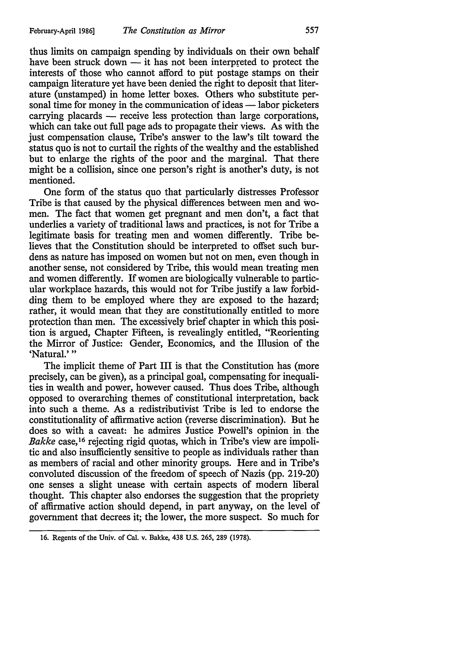thus limits on campaign spending by individuals on their own behalf have been struck down  $\frac{1}{x}$  it has not been interpreted to protect the interests of those who cannot afford to put postage stamps on their campaign literature yet have been denied the right to deposit that literature (unstamped) in home letter boxes. Others who substitute personal time for money in the communication of ideas - labor picketers carrying placards — receive less protection than large corporations, which can take out full page ads to propagate their views. As with the just compensation clause, Tribe's answer to the law's tilt toward the status quo is not to curtail the rights of the wealthy and the established but to enlarge the rights of the poor and the marginal. That there might be a collision, since one person's right is another's duty, is not mentioned.

One form of the status quo that particularly distresses Professor Tribe is that caused by the physical differences between men and women. The fact that women get pregnant and men don't, a fact that underlies a variety of traditional laws and practices, is not for Tribe a legitimate basis for treating men and women differently. Tribe believes that the Constitution should be interpreted to offset such burdens as nature has imposed on women but not on men, even though in another sense, not considered by Tribe, this would mean treating men and women differently. If women are biologically vulnerable to particular workplace hazards, this would not for Tribe justify a law forbidding them to be employed where they are exposed to the hazard; rather, it would mean that they are constitutionally entitled to more protection than men. The excessively brief chapter in which this position is argued, Chapter Fifteen, is revealingly entitled, "Reorienting the Mirror of Justice: Gender, Economics, and the Illusion of the 'Natural.'"

The implicit theme of Part III is that the Constitution has (more precisely, can be given), as a principal goal, compensating for inequalities in wealth and power, however caused. Thus does Tribe, although opposed to overarching themes of constitutional interpretation, back into such a theme. As a redistributivist Tribe is led to endorse the constitutionality of affirmative action (reverse discrimination). But he does so with a caveat: he admires Justice Powell's opinion in the *Bakke* case,<sup>16</sup> rejecting rigid quotas, which in Tribe's view are impolitic and also insufficiently sensitive to people as individuals rather than as members of racial and other minority groups. Here and in Tribe's convoluted discussion of the freedom of speech of Nazis (pp. 219-20) one senses a slight unease with certain aspects of modem liberal thought. This chapter also endorses the suggestion that the propriety of affirmative action should depend, in part anyway, on the level of government that decrees it; the lower, the more suspect. So much for

<sup>16.</sup> Regents of the Univ. of Cal. v. Bakke, 438 U.S. 265, 289 (1978).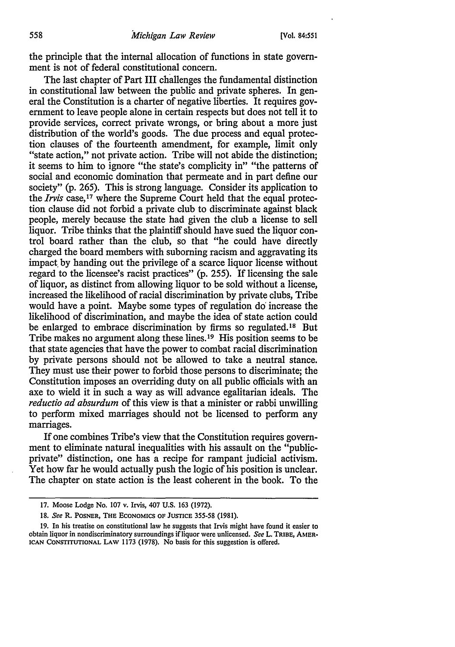the principle that the internal allocation of functions in state government is not of federal constitutional concern.

The last chapter of Part III challenges the fundamental distinction in constitutional law between the public and private spheres. In general the Constitution is a charter of negative liberties. It requires government to leave people alone in certain respects but does not tell it to provide services, correct private wrongs, or bring about a more just distribution of the world's goods. The due process and equal protection clauses of the fourteenth amendment, for example, limit only "state action," not private action. Tribe will not abide the distinction; it seems to him to ignore "the state's complicity in" "the patterns of social and economic domination that permeate and in part define our society" (p. 265). This is strong language. Consider its application to the *Irvis* case, 17 where the Supreme Court held that the equal protection clause did not forbid a private club to discriminate against black people, merely because the state had given the club a license to sell liquor. Tribe thinks that the plaintiff should have sued the liquor control board rather than the club, so that "he could have directly charged the board members with suborning racism and aggravating its impact. by handing out the privilege of a scarce liquor license without regard to the licensee's racist practices" (p. 255). If licensing the sale of liquor, as distinct from allowing liquor to be sold without a license, increased the likelihood of racial discrimination by private clubs, Tribe would have a point. Maybe some types of regulation do increase the likelihood of discrimination, and maybe the idea of state action could be enlarged to embrace discrimination by firms so regulated.<sup>18</sup> But Tribe makes no argument along these lines. 19 His position seems to be that state agencies that have the power to combat racial discrimination by private persons should not be allowed to take a neutral stance. They must use their power to forbid those persons to discriminate; the Constitution imposes an overriding duty on all public officials with an axe to wield it in such a way as will advance egalitarian ideals. The *reductio ad absurdum* of this view is that a minister or rabbi unwilling to perform mixed marriages should not be licensed to perform any marriages. \_

If one combines Tribe's view that the Constitution requires government to eliminate natural inequalities with his assault on the "publicprivate" distinction, one has a recipe for rampant judicial activism. Yet how far he would actually push the logic of his position is unclear. The chapter on state action is the least coherent in the book. To the

<sup>17.</sup> Moose Lodge No. 107 v. lrvis, 407 U.S. 163 (1972).

<sup>18.</sup> *See* R. POSNER, THE EcONOMICS OF JUSTICE 355-58 (1981).

<sup>19.</sup> In his treatise on constitutional law he suggests that Irvis might have found it easier to obtain liquor in nondiscriminatory surroundings ifliquor were unlicensed. *See* L. TRIBE, AMER· ICAN CONSTITUTIONAL LAW 1173 (1978). No basis for this suggestion is offered.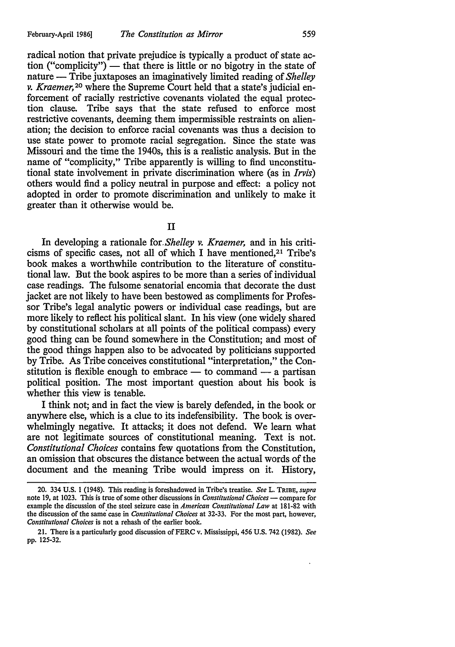radical notion that private prejudice is typically a product of state action ("complicity") — that there is little or no bigotry in the state of nature — Tribe juxtaposes an imaginatively limited reading of *Shelley v. Kraemer,* 20 where the Supreme Court held that a state's judicial enforcement of racially restrictive covenants violated the equal protection clause. Tribe says that the state refused to enforce most restrictive covenants, deeming them impermissible restraints on alienation; the decision to enforce racial covenants was thus a decision to use state power to promote racial segregation. Since the state was Missouri and the time the 1940s, this is a realistic analysis. But in the name of "complicity," Tribe apparently is willing to find unconstitutional state involvement in private discrimination where (as in *Irvis)*  others would find a policy neutral in purpose and effect: a policy not adopted in order to promote discrimination and unlikely to make it greater than it otherwise would be.

### II

In developing a rationale *for.Shelley v. Kraemer,* and in his criticisms of specific cases, not all of which I have mentioned,<sup>21</sup> Tribe's book makes a worthwhile contribution to the literature of constitutional law. But the book aspires to be more than a series of individual case readings. The fulsome senatorial encomia that decorate the dust jacket are not likely to have been bestowed as compliments for Professor Tribe's legal analytic powers or individual case readings, but are more likely to reflect his political slant. In his view (one widely shared by constitutional scholars at all points of the political compass) every good thing can be found somewhere in the Constitution; and most of the good things happen also to be advocated by politicians supported by Tribe. As Tribe conceives constitutional "interpretation," the Constitution is flexible enough to embrace  $-$  to command  $-$  a partisan political position. The most important question about his book is whether this view is tenable.

I think not; and in fact the view is barely defended, in the book or anywhere else, which is a clue to its indefensibility. The book is overwhelmingly negative. It attacks; it does not defend. We learn what are not legitimate sources of constitutional meaning. Text is not. *Constitutional Choices* contains few quotations from the Constitution, an omission that obscures the distance between the actual words of the document and the meaning Tribe would impress on it. History,

<sup>20. 334</sup> U.S. 1 (1948). This reading is foreshadowed in Tribe's treatise. *See* L. TRIBE, *supra*  note 19, at 1023. This is true of some other discussions in *Constitutional Choices* - compare for example the discussion of the steel seizure case in *American Constitutional Law* at 181-82 with the discussion of the same case in *Constitutional Choices* at 32-33. For the most part, however, *Constitutional Choices* is not a rehash of the earlier book.

<sup>21.</sup> There is a particularly good discussion of FERC v. Mississippi, 456 U.S. 742 (1982). See pp. 125-32.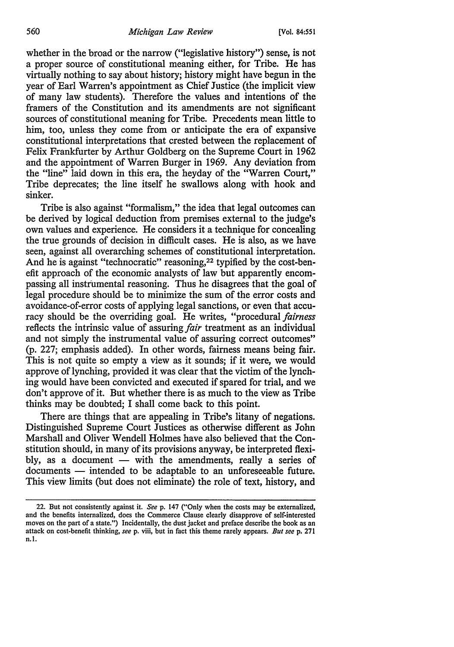whether in the broad or the narrow ("legislative history") sense, is not a proper source of constitutional meaning either, for Tribe. He has virtually nothing to say about history; history might have begun in the year of Earl Warren's appointment as Chief Justice (the implicit view of many law students). Therefore the values and intentions of the framers of the Constitution and its amendments are not significant sources of constitutional meaning for Tribe. Precedents mean little to him, too, unless they come from or anticipate the era of expansive constitutional interpretations that crested between the replacement of Felix Frankfurter by Arthur Goldberg on the Supreme Court in 1962 and the appointment of Warren Burger in 1969. Any deviation from the "line" laid down in this era, the heyday of the "Warren Court," Tribe deprecates; the line itself he swallows along with hook and sinker.

Tribe is also against "formalism," the idea that legal outcomes can be derived by logical deduction from premises external to the judge's own values and experience. He considers it a technique for concealing the true grounds of decision in difficult cases. He is also, as we have seen, against all overarching schemes of constitutional interpretation. And he is against "technocratic" reasoning,<sup>22</sup> typified by the cost-benefit approach of the economic analysts of law but apparently encompassing all instrumental reasoning. Thus he disagrees that the goal of legal procedure should be to minimize the sum of the error costs and avoidance-of-error costs of applying legal sanctions, or even that accuracy should be the overriding goal. He writes, "procedural *fairness*  reflects the intrinsic value of assuring *fair* treatment as an individual and not simply the instrumental value of assuring correct outcomes" (p. 227; emphasis added). In other words, fairness means being fair. This is not quite so empty a view as it sounds; if it were, we would approve of lynching, provided it was clear that the victim of the lynching would have been convicted and executed if spared for trial, and we don't approve of it. But whether there is as much to the view as Tribe thinks may be doubted; I shall come back to this point.

There are things that are appealing in Tribe's litany of negations. Distinguished Supreme Court Justices as otherwise different as John Marshall and Oliver Wendell Holmes have also believed that the Constitution should, in many of its provisions anyway, be interpreted flexibly, as a document  $-$  with the amendments, really a series of documents - intended to be adaptable to an unforeseeable future. This view limits (but does not eliminate) the role of text, history, and

<sup>22.</sup> But not consistently against it. *See* p. 147 ("Only when the costs may be externalized, and the benefits internalized, does the Commerce Clause clearly disapprove of self-interested moves on the part of a state.") Incidentally, the dust jacket and preface describe the book as an attack on cost-benefit thinking, *see* p. viii, but in fact this theme rarely appears. *But see* p. 271 n.l.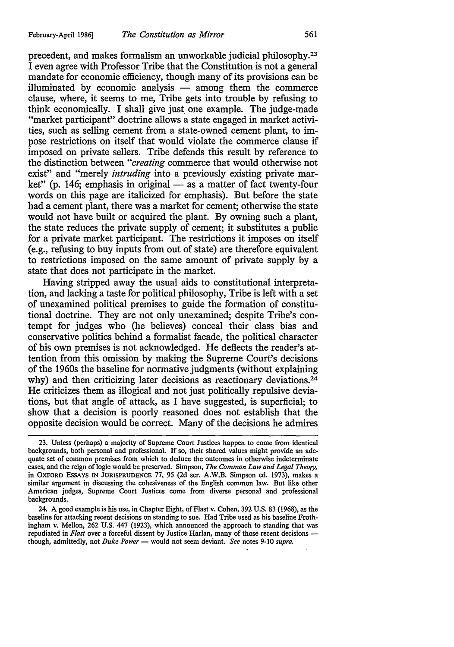precedent, and makes formalism an unworkable judicial philosophy.23 I even agree with Professor Tribe that the Constitution is not a general mandate for economic efficiency, though many of its provisions can be illuminated by economic analysis  $-$  among them the commerce clause, where, it seems to me, Tribe gets into trouble by refusing to think economically. I shall give just. one example. The judge-made "market participant" doctrine allows a state engaged in market activities, such as selling cement from a state-owned cement plant, to impose restrictions on itself that would violate the commerce clause if imposed on private sellers. Tribe defends this result by reference to the distinction between *"creating* commerce that would otherwise not exist" and "merely *intruding* into a previously existing private market" (p. 146; emphasis in original  $-$  as a matter of fact twenty-four words on this page are italicized for emphasis). But before the state had a cement plant, there was a market for cement; otherwise the state would not have built or acquired the plant. By owning such a plant, the state reduces the private supply of cement; it substitutes a public for a private market participant. The restrictions it imposes on itself (e.g., refusing to buy inputs from out of state) are therefore equivalent to restrictions imposed on the same amount of private supply by a state that does not participate in the market.

Having stripped away the usual aids to constitutional interpretation, and lacking a taste for political philosophy, Tribe is left with a set of unexamined political premises to guide the formation of constitutional doctrine. They are not only unexamined; despite Tribe's contempt for judges who (he believes) conceal their class bias and conservative politics behind a formalist facade, the political character of his own premises is not acknowledged. He deflects the reader's attention from this omission by making the Supreme Court's decisions of the 1960s the baseline for normative judgments (without explaining why) and then criticizing later decisions as reactionary deviations.<sup>24</sup> He criticizes them as illogical and not just politically repulsive deviations, but that angle of attack, as I have suggested, is superficial; to show that a decision is poorly reasoned does not establish that the opposite decision would be correct. Many of the decisions he admires

24. A good example is his use, in Chapter Eight, of Flast v. Cohen, 392 U.S. 83 (1968), as the baseline for attacking recent decisions on standing to sue. Had Tribe used as his baseline Frothingham v. Mellon, 262 U.S. 447 (1923), which announced the approach to standing that was repudiated in *Flast* over a forceful dissent by Justice Harlan, many of those recent decisions though, admittedly, not *Duke Power* — would not seem deviant. See notes 9-10 *supra*.

<sup>23.</sup> Unless (perhaps) a majority of Supreme Court Justices happen to come from identical backgrounds, both personal and professional. If so, their shared values might provide an adequate set of common premises from which to deduce the outcomes in otherwise indeterminate cases, and the reign of logic would be preserved. Simpson, *The Common Law and Legal Theory*, in OXFORD EsSAYS IN JURISPRUDENCE 77, 95 (2d ser. A.W.B. Simpson ed. 1973), makes a similar argument in discussing the cohesiveness of the English common law. But like other American judges, Supreme Court Justices come from diverse personal and professional backgrounds.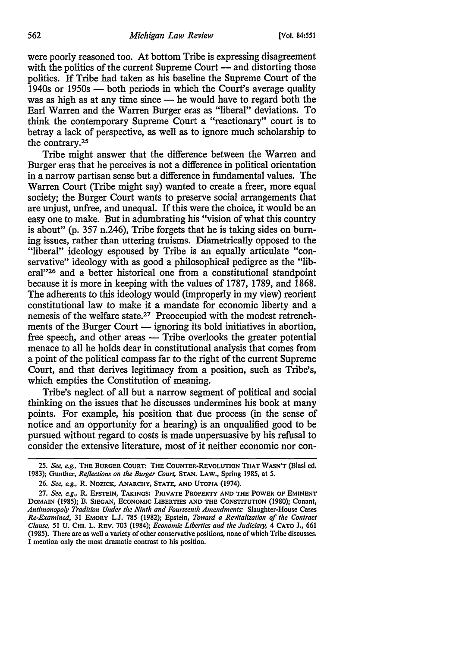were poorly reasoned too. At bottom Tribe is expressing disagreement with the politics of the current Supreme Court — and distorting those politics. If Tribe had taken as his baseline the Supreme Court of the 1940s or 1950s — both periods in which the Court's average quality was as high as at any time since  $-$  he would have to regard both the Earl Warren and the Warren Burger eras as "liberal" deviations. To think the contemporary Supreme Court a "reactionary" court is to betray a lack of perspective, as well as to ignore much scholarship to the contrary.25

Tribe might answer that the difference between the Warren and Burger eras that he perceives is not a difference in political orientation in a narrow partisan sense but a difference in fundamental values. The Warren Court (Tribe might say) wanted to create a freer, more equal society; the Burger Court wants to preserve social arrangements that are unjust, unfree, and unequal. If this were the choice, it would be an easy one to make. But in adumbrating his "vision of what this country is about" (p. 357 n.246), Tribe forgets that he is taking sides on burning issues, rather than uttering truisms. Diametrically opposed to the "liberal" ideology espoused by Tribe is an equally articulate "conservative" ideology with as good a philosophical pedigree as the "liberal"26 and a better historical one from a constitutional standpoint because it is more in keeping with the values of 1787, 1789, and 1868. The adherents to this ideology would (improperly in my view) reorient constitutional law to make it a mandate for economic liberty and a nemesis of the welfare state.27 Preoccupied with the modest retrenchments of the Burger Court  $-$  ignoring its bold initiatives in abortion, free speech, and other areas — Tribe overlooks the greater potential menace to all he holds dear in constitutional analysis that comes from a point of the political compass far to the right of the current Supreme Court, and that derives legitimacy from a position, such as Tribe's, which empties the Constitution of meaning.

Tribe's neglect of all but a narrow segment of political and social thinking on the issues that he discusses undermines his book at many points. For example, his position that due process (in the sense of notice and an opportunity for a hearing) is an unqualified good to be pursued without regard to costs is made unpersuasive by his refusal to consider the extensive literature, most of it neither economic nor con-

<sup>25.</sup> *See, e.g.,* THE BURGER COURT: THE COUNTER-REVOLUTION THAT WASN'T (Blasi ed. 1983); Gunther, *Reflections on the Burger Court,* STAN. LAW., Spring 1985, at *5.* 

<sup>26.</sup> *See, e.g.,* R. NOZICK, ANARCHY, STATE, AND UTOPIA (1974).

<sup>27.</sup> *See, e.g.,* R. EPSTEIN, TAKINGS: PRIVATE PROPERTY AND THE POWER OF EMINENT DOMAIN (1985); B. SIEGAN, ECONOMIC LIBERTIES AND THE CONSTITUTION (1980); Conant, *Antimonopo/y Tradition Under the Ninth and Fourteenth Amendments:* Slaughter-House Cases *Re-Examined,* 31 EMORY L.J. 785 (1982); Epstein, *Toward a Revitalization of the Contract Clause,* 51 U. CHI. L. REV. 703 (1984); *Economic Liberties and the Judiciary,* 4 CATO J., 661 (1985). There are ns well a variety of other conservative positions, none of which Tribe discusses. I mention only the most dramatic contrast to his position.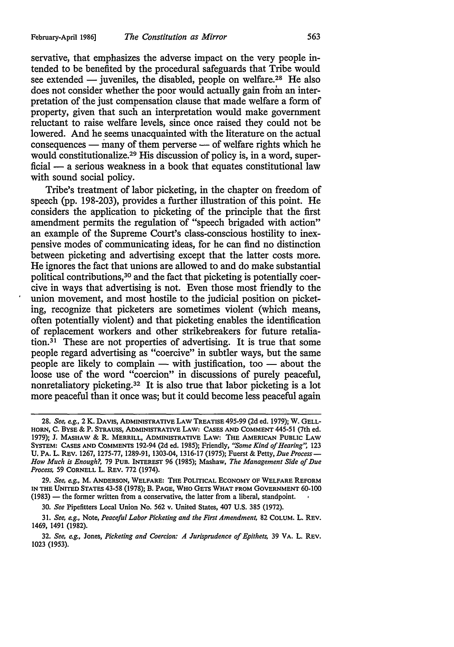servative, that emphasizes the adverse impact on the very people intended to be benefited by the procedural safeguards that Tribe would see extended  $-$  iuveniles, the disabled, people on welfare.<sup>28</sup> He also does not consider whether the poor would actually gain from an interpretation of the just compensation clause that made welfare a form of property, given that such an interpretation would make government reluctant to raise welfare levels, since once raised they could not be lowered. And he seems unacquainted with the literature on the actual  $consequences$   $-$  many of them perverse  $-$  of welfare rights which he would constitutionalize.<sup>29</sup> His discussion of policy is, in a word, superficial - a serious weakness in a book that equates constitutional law with sound social policy.

Tribe's treatment of labor picketing, in the chapter on freedom of speech (pp. 198-203), provides a further illustration of this point. He considers the application to picketing of the principle that the first amendment permits the regulation of "speech brigaded with action" an example of the Supreme Court's class-conscious hostility to inexpensive modes of communicating ideas, for he can find no distinction between picketing and advertising except that the latter costs more. He ignores the fact that unions are allowed to and do make substantial political contributions, 30 and the fact that picketing is potentially coercive in ways that advertising is not. Even those most friendly to the union movement, and most hostile to the judicial position on picketing, recognize that picketers are sometimes violent (which means, often potentially violent) and that picketing enables the identification of replacement workers and other strikebreakers for future retaliation. $31$  These are not properties of advertising. It is true that some people regard advertising as "coercive" in subtler ways, but the same people are likely to complain  $-$  with justification, too  $-$  about the loose use of the word "coercion" in discussions of purely peaceful, nonretaliatory picketing.32 It is also true that labor picketing is a lot more peaceful than it once was; but it could become less peaceful again

30. *See* Pipefitters Local Union No. 562 v. United States, 407 U.S. 385 (1972).

31. *See, e.g.,* Note, *Peaceful Labor Picketing and the First Amendment,* 82 COLUM. L. REV. 1469, 1491 (1982).

<sup>28.</sup> *See, e.g.,* 2 K. DAVIS, ADMINISTRATIVE LAW TREATISE 495-99 (2d ed. 1979); W. GELL-HORN, C, BYSE & p. STRAUSS, ADMINISTRATIVE LAW: CASES AND COMMENT 445-51 (7th ed. 1979); J. MASHAW & R. MERRILL, ADMINISTRATIVE LAW: THE AMERICAN PUBLIC LAW SYSTEM: CASES AND COMMENTS 192-94 (2d ed. 1985); Friendly, "Some Kind of Hearing", 123 U. PA. L. REV. 1267, 1275-77, 1289-91, 1303-04, 1316-17 (1975); Fuerst & Petty, *Due Process-How Much is Enough?,* 79 PUB. INTEREST 96 (1985); Mashaw, *The Management Side of Due Process,* 59 CORNELL L. REV. 772 (1974).

<sup>29.</sup> *See, e.g.,* M. ANDERSON, WELFARE: THE POLITICAL EcONOMY OF WELFARE REFORM IN THE UNITED STATES 43-58 (1978); B. PAGE, WHO GETS WHAT FROM GOVERNMENT 60-100  $(1983)$  — the former written from a conservative, the latter from a liberal, standpoint.

<sup>32.</sup> *See, e.g.,* Jones, *Picketing and Coercion: A Jurisprudence of Epithets,* 39 VA. L. REV. 1023 (1953).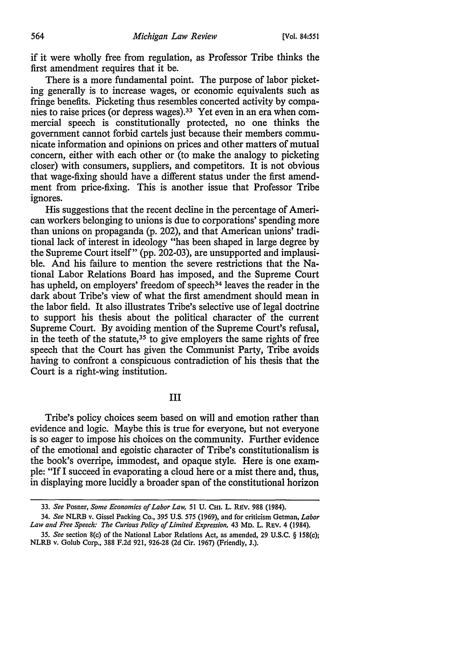if it were wholly free from regulation, as Professor Tribe thinks the first amendment requires that it be.

There is a more fundamental point. The purpose of labor picketing generally is to increase wages, or economic equivalents such as fringe benefits. Picketing thus resembles concerted activity by companies to raise prices (or depress wages).33 Yet even in an era when commercial speech is constitutionally protected, no one thinks the government cannot forbid cartels just because their members communicate information and opinions on prices and other matters of mutual concern, either with each other or (to make the analogy to picketing closer) with consumers, suppliers, and competitors. It is not obvious that wage-fixing should have a different status under the first amendment from price-fixing. This is another issue that Professor Tribe ignores.

His suggestions that the recent decline in the percentage of American workers belonging to unions is due to corporations' spending more than unions on propaganda (p. 202), and that American unions' traditional lack of interest in ideology "has been shaped in large degree by the Supreme Court itself" (pp. 202-03), are unsupported and implausible. And his failure to mention the severe restrictions that the National Labor Relations Board has imposed, and the Supreme Court has upheld, on employers' freedom of speech<sup>34</sup> leaves the reader in the dark about Tribe's view of what the first amendment should mean in the labor field. It also illustrates Tribe's selective use of legal doctrine to support his thesis about the political character of the current Supreme Court. By avoiding mention of the Supreme Court's refusal, in the teeth of the statute,<sup>35</sup> to give employers the same rights of free speech that the Court has given the Communist Party, Tribe avoids having to confront a conspicuous contradiction of his thesis that the Court is a right-wing institution.

#### III

Tribe's policy choices seem based on will and emotion rather than evidence and logic. Maybe this is true for everyone, but not everyone is so eager to impose his choices on the community. Further evidence of the emotional and egoistic character of Tribe's constitutionalism is the book's overripe, immodest, and opaque style. Here is one example: "If I succeed in evaporating a cloud here or a mist there and, thus, in displaying more lucidly a broader span of the constitutional horizon

<sup>33.</sup> *See* Posner, *Some Economics of Labor Law,* 51 U. Cm. L. REV. 988 (1984).

<sup>34.</sup> *See* NLRB v. Gissel Packing Co., 395 U.S. 575 (1969), and for criticism Getman, *Labor*  Law and Free Speech: The Curious Policy of Limited Expression, 43 MD. L. REV. 4 (1984).

<sup>35.</sup> *See* section 8(c) of the National Labor Relations Act, as amended, 29 U.S.C. § 158(c); NLRB v. Golub Corp., 388 F.2d 921, 926-28 (2d Cir. 1967) (Friendly, J.).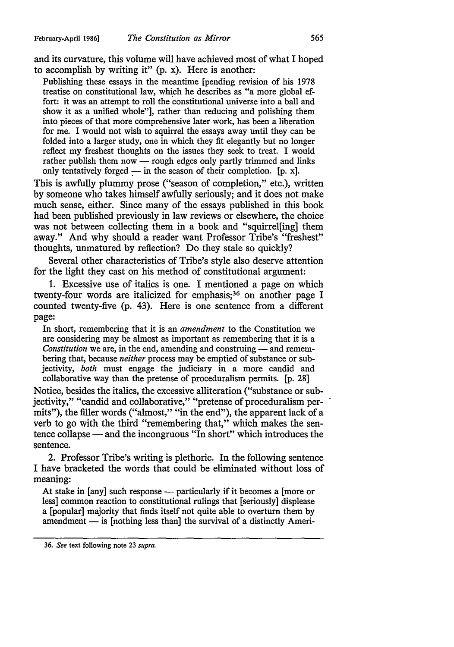and its curvature, this volume will have achieved most of what I hoped to accomplish by writing it" (p. x). Here is another:

Publishing these essays in the meantime [pending revision of his 1978 treatise on constitutional law, which he describes as "a more global effort: it was an attempt to roll the constitutional universe into a ball and show it as a unified whole"], rather than reducing and polishing them into pieces of that more comprehensive later work, has been a liberation for me. I would not wish to squirrel the essays away until they can be folded into a larger study, one in which they fit elegantly but no longer reflect my freshest thoughts on the issues they seek to treat. I would rather publish them now — rough edges only partly trimmed and links only tentatively forged  $-$  in the season of their completion. [p. x].

This is awfully plummy prose ("season of completion," etc.), written by someone who takes himself awfully seriously; and it does not make much sense, either. Since many of the essays published in this book had been published previously in law reviews or elsewhere, the choice was not between collecting them in a book and "squirrel[ing] them away." And why should a reader want Professor Tribe's "freshest" thoughts, unmatured by reflection? Do they stale so quickly?

Several other characteristics of Tribe's style also deserve attention for the light they cast on his method of constitutional argument:

1. Excessive use of italics is one. I mentioned a page on which twenty-four words are italicized for emphasis;<sup>36</sup> on another page I counted twenty-five (p. 43). Here is one sentence from a different page:

In short, remembering that it is an *amendment* to the Constitution we are considering may be almost as important as remembering that it is a *Constitution* we are, in the end, amending and construing — and remembering that, because *neither* process may be emptied of substance or subjectivity, *both* must engage the judiciary in a more candid and collaborative way than the pretense of proceduralism permits. [p. 28]

Notice, besides the italics, the excessive alliteration ("substance or subjectivity," "candid and collaborative," "pretense of proceduralism permits"), the filler words ("almost," "in the end"), the apparent lack of a verb to go with the third "remembering that," which makes the sentence collapse — and the incongruous "In short" which introduces the sentence.

2. Professor Tribe's writing is plethoric. In the following sentence I have bracketed the words that could be eliminated without loss of meaning:

At stake in  $[any]$  such response  $-$  particularly if it becomes a  $[more or]$ less] common reaction to constitutional rulings that [seriously] displease a [popular] majority that finds itself not quite able to overturn them by amendment  $-$  is [nothing less than] the survival of a distinctly Ameri-

<sup>36.</sup> *See* text following note 23 *supra.*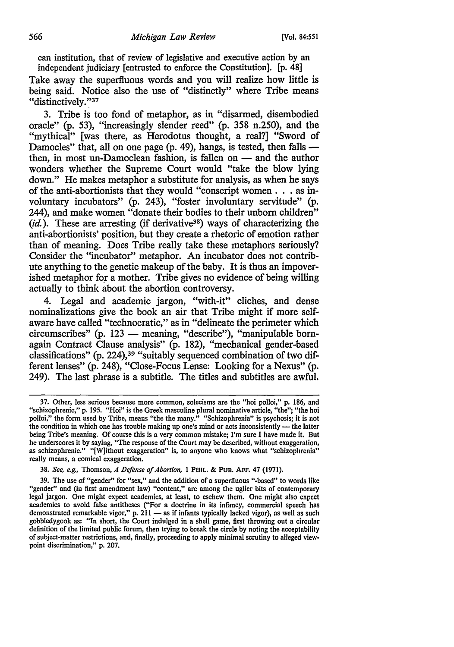can institution, that of review of legislative and executive action by an independent judiciary [entrusted to enforce the Constitution]. [p. 48]

Take away the superfluous words and you will realize how little is being said. Notice also the use of "distinctly" where Tribe means "distinctively."<sup>37</sup>

3. Tribe is too fond of metaphor, as in "disarmed, disembodied oracle" (p. 53), "increasingly slender reed" (p. 358 n.250), and the "mythical" [was there, as Herodotus thought, a real?] "Sword of Damocles" that, all on one page (p. 49), hangs, is tested, then falls then, in most un-Damoclean fashion, is fallen on - and the author wonders whether the Supreme Court would "take the blow lying down." He makes metaphor a substitute for analysis, as when he says of the anti-abortionists that they would "conscript women . . . as involuntary incubators" (p. 243), "foster involuntary servitude" (p. 244), and make women "donate their bodies to their unborn children"  $(id.)$ . These are arresting (if derivative<sup>38</sup>) ways of characterizing the anti-abortionists' position, but they create a rhetoric of emotion rather than of meaning. Does Tribe really take these metaphors seriously? Consider the "incubator" metaphor. An incubator does not contribute anything to the genetic makeup of the baby. It is thus an impoverished metaphor for a mother. Tribe gives no evidence of being willing actually to think about the abortion controversy.

4. Legal and academic jargon, "with-it" cliches, and dense nominalizations give the book an air that Tribe might if more selfaware have called "technocratic," as in "delineate the perimeter which circumscribes" (p.  $123$  — meaning, "describe"), "manipulable bornagain Contract Clause analysis" (p. 182), "mechanical gender-based classifications" (p. 224),  $39$  "suitably sequenced combination of two different lenses" (p. 248), "Close-Focus Lense: Looking for a Nexus" (p. 249). The last phrase is a subtitle. The titles and subtitles are awful.

<sup>37.</sup> Other, less serious because more common, solecisms are the "hoi polloi," p. 186, and "schizophrenic," p. 195. "Hoi" is the Greek masculine plural nominative article, "the"; "the hoi polloi," the form used by Tribe, means "the the many." "Schizophrenia" is psychosis; it is not the condition in which one has trouble making up one's mind or acts inconsistently  $-$  the latter being Tribe's meaning. Of course this is a very common mistake; I'm sure I have made it. But he underscores it by saying, "The response of the Court may be described, without exaggeration, as schizophrenic." "[W]ithout exaggeration" is, to anyone who knows what "schizophrenia" really means, a comical exaggeration.

<sup>38.</sup> *See, e.g.,* Thomson, *A Defense of Abortion,* 1 PHIL. & PUB. AFF. 47 (1971).

<sup>39.</sup> The use of "gender" for "sex,'' and the addition of a superfluous "-based" to words like "gender" and (in first amendment law) "content,'' are among the uglier bits of contemporary legal jargon. One might expect academics, at least, to eschew them. One might also expect academics to avoid false antitheses ("For a doctrine in its infancy, commercial speech has demonstrated remarkable vigor," p. 211 - as if infants typically lacked vigor), as well as such gobbledygook as: "In short, the Court indulged in a shell game, first throwing out a circular definition of the limited public forum, then trying to break the circle by noting the acceptability of subject-matter restrictions, and, finally, proceeding to apply minimal scrutiny to alleged viewpoint discrimination,'' p. 207.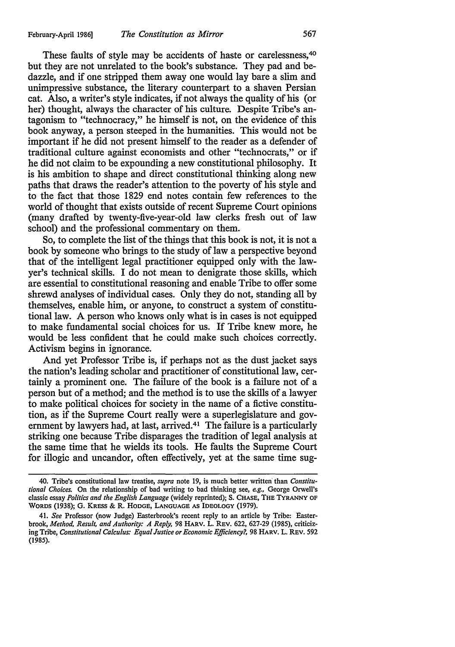These faults of style may be accidents of haste or carelessness, 40 but they are not unrelated to the book's substance. They pad and bedazzle, and if one stripped them away one would lay bare a slim and unimpressive substance, the literary counterpart to a shaven Persian cat. Also, a writer's style indicates, if not always the quality of his (or her) thought, always the character of his culture. Despite Tribe's antagonism to "technocracy," he himself is not, on the evidence of this book anyway, a person steeped in the humanities. This would not be important if he did not present himself to the reader as a defender of traditional culture against economists and other "technocrats," or if he did not claim to be expounding a new constitutional philosophy. It is his ambition to shape and direct constitutional thinking along new paths that draws the reader's attention to the poverty of his style and to the fact that those 1829 end notes contain few references to the world of thought that exists outside of recent Supreme Court opinions (many drafted by twenty-five-year-old law clerks fresh out of law school) and the professional commentary on them.

So, to complete the list of the things that this book is not, it is not a book by someone who brings to the study of law a perspective beyond that of the intelligent legal practitioner equipped only with the lawyer's technical skills. I do not mean to denigrate those skills, which are essential to constitutional reasoning and enable Tribe to offer some shrewd analyses of individual cases. Only they do not, standing all by themselves, enable him, or anyone, to construct a system of constitutional law. A person who knows only what is in cases is not equipped to make fundamental social choices for us. If Tribe knew more, he would be less confident that he could make such choices correctly. Activism begins in ignorance.

And yet Professor Tribe is, if perhaps not as the dust jacket says the nation's leading scholar and practitioner of constitutional law, certainly a prominent one. The failure of the book is a failure not of a person but of a method; and the method is to use the skills of a lawyer to make political choices for society in the name of a fictive constitution, as if the Supreme Court really were a superlegislature and government by lawyers had, at last, arrived.<sup>41</sup> The failure is a particularly striking one because Tribe disparages the tradition of legal analysis at the same time that he wields its tools. He faults the Supreme Court for illogic and uncandor, often effectively, yet at the same time sug-

<sup>40.</sup> Tribe's constitutional law treatise, *supra* note 19, is much better written than *Constitutional Choices.* On the relationship of bad writing to bad thinking see, *e.g.,* George Orwell's classic essay *Politics and the English Language* (widely reprinted); S. CHASE, THE TYRANNY OF WORDS (1938); G. KRESS & R. HODGE, LANGUAGE AS IDEOLOGY (1979).

<sup>41.</sup> *See* Professor (now Judge) Easterbrook's recent reply to an article by Tribe: Easterbrook, *Method, Result, and Authority: A Reply,* 98 HARV. L. REV. 622, 627-29 (1985), criticizing Tribe, *Constitutional Calculus: Equal Justice or Economic Efficiency?,* 98 HARV. L. REV. 592 (1985).